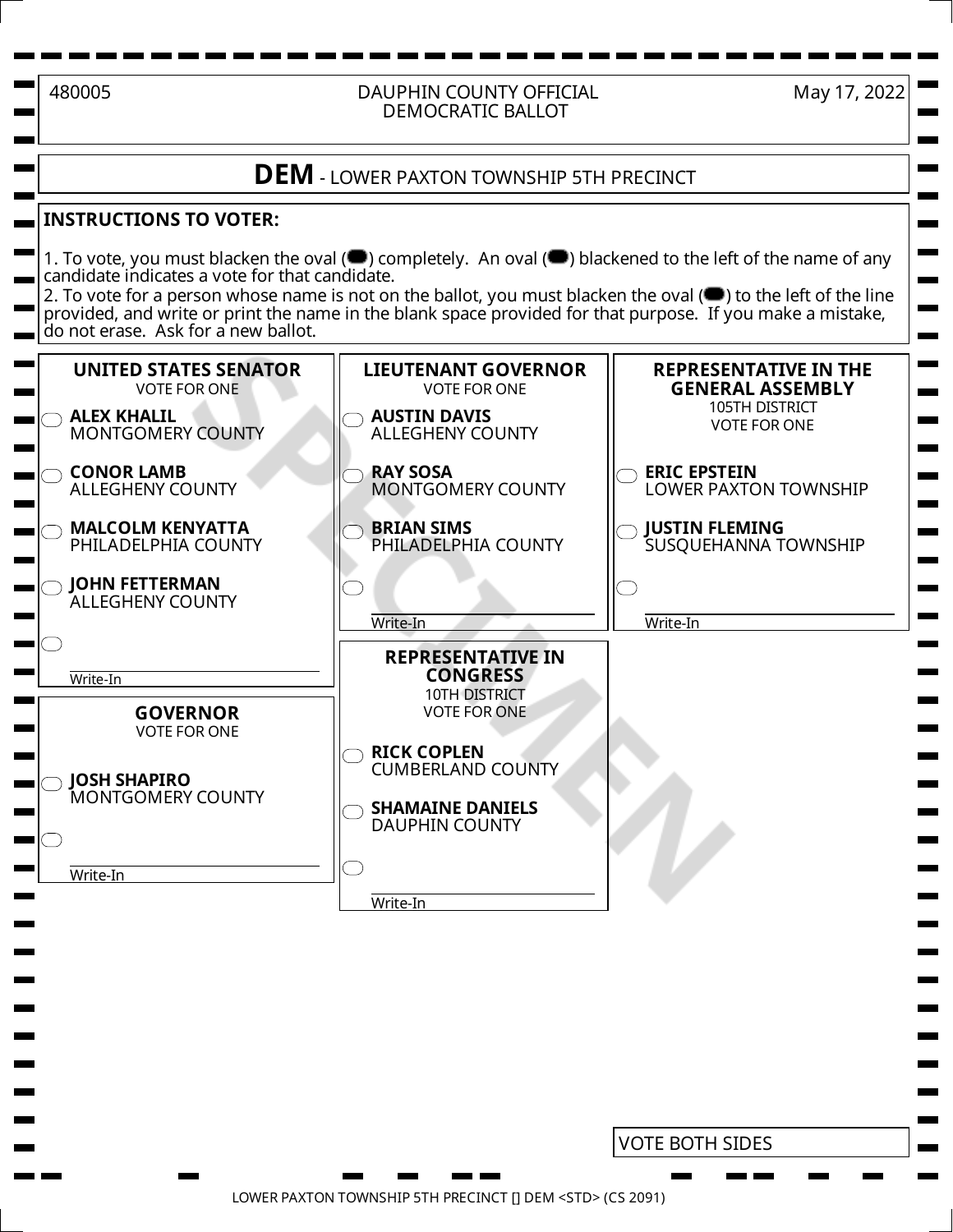## 480005 DAUPHIN COUNTY OFFICIAL DEMOCRATIC BALLOT

May 17, 2022

## **DEM** - LOWER PAXTON TOWNSHIP 5TH PRECINCT

## **INSTRUCTIONS TO VOTER:**

1. To vote, you must blacken the oval ( $\blacksquare$ ) completely. An oval ( $\blacksquare$ ) blackened to the left of the name of any candidate indicates a vote for that candidate.

2. To vote for a person whose name is not on the ballot, you must blacken the oval  $($ **)** to the left of the line provided, and write or print the name in the blank space provided for that purpose. If you make a mistake, do not erase. Ask for a new ballot.



VOTE BOTH SIDES